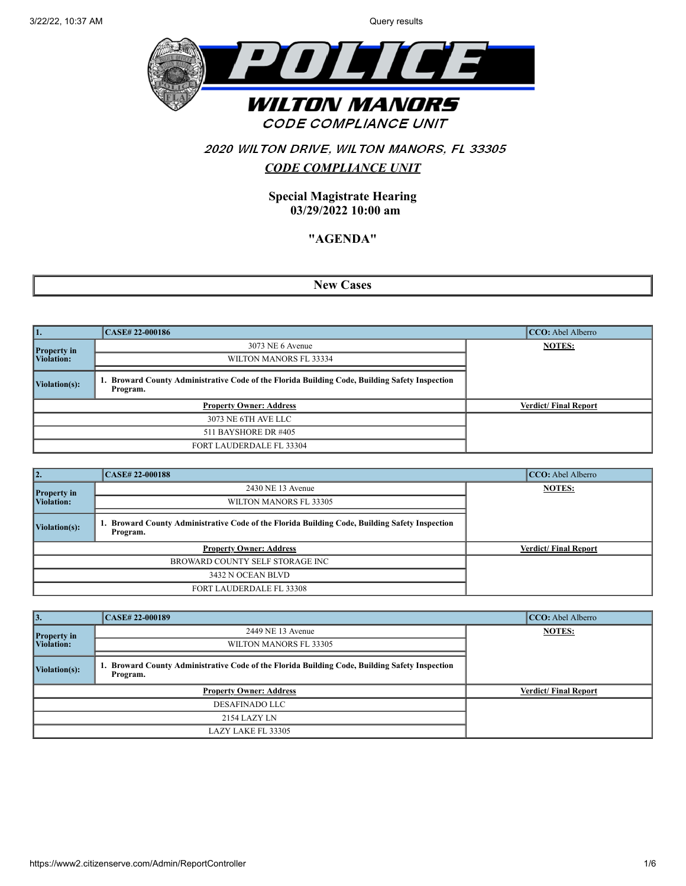

# 2020 WILTON DRIVE, WILTON MANORS, FL 33305 *CODE COMPLIANCE UNIT*

**Special Magistrate Hearing 03/29/2022 10:00 am**

### **"AGENDA"**

**New Cases**

| 11.                | <b>CASE# 22-000186</b>                                                                                  | CCO: Abel Alberro           |
|--------------------|---------------------------------------------------------------------------------------------------------|-----------------------------|
| <b>Property in</b> | 3073 NE 6 Avenue                                                                                        | <b>NOTES:</b>               |
| Violation:         | WILTON MANORS FL 33334                                                                                  |                             |
| Violation(s):      | Broward County Administrative Code of the Florida Building Code, Building Safety Inspection<br>Program. |                             |
|                    | <b>Property Owner: Address</b>                                                                          | <b>Verdict/Final Report</b> |
|                    | 3073 NE 6TH AVE LLC                                                                                     |                             |
|                    | 511 BAYSHORE DR #405                                                                                    |                             |
|                    | FORT LAUDERDALE FL 33304                                                                                |                             |

| 12.                | <b>CASE# 22-000188</b>                                                                                  | CCO: Abel Alberro           |
|--------------------|---------------------------------------------------------------------------------------------------------|-----------------------------|
| <b>Property in</b> | 2430 NE 13 Avenue                                                                                       | <b>NOTES:</b>               |
| Violation:         | WILTON MANORS FL 33305                                                                                  |                             |
| Violation(s):      | Broward County Administrative Code of the Florida Building Code, Building Safety Inspection<br>Program. |                             |
|                    | <b>Property Owner: Address</b>                                                                          | <b>Verdict/Final Report</b> |
|                    | BROWARD COUNTY SELF STORAGE INC                                                                         |                             |
|                    | 3432 N OCEAN BLVD                                                                                       |                             |
|                    | FORT LAUDERDALE FL 33308                                                                                |                             |

| 13.                       | <b>CASE# 22-000189</b>                                                                                     | CCO: Abel Alberro           |
|---------------------------|------------------------------------------------------------------------------------------------------------|-----------------------------|
|                           | 2449 NE 13 Avenue                                                                                          | <b>NOTES:</b>               |
| Property in<br>Violation: | WILTON MANORS FL 33305                                                                                     |                             |
| Violation(s):             | 1. Broward County Administrative Code of the Florida Building Code, Building Safety Inspection<br>Program. |                             |
|                           | <b>Property Owner: Address</b>                                                                             | <b>Verdict/Final Report</b> |
|                           | <b>DESAFINADO LLC</b>                                                                                      |                             |
|                           | 2154 LAZY LN                                                                                               |                             |
|                           | LAZY LAKE FL 33305                                                                                         |                             |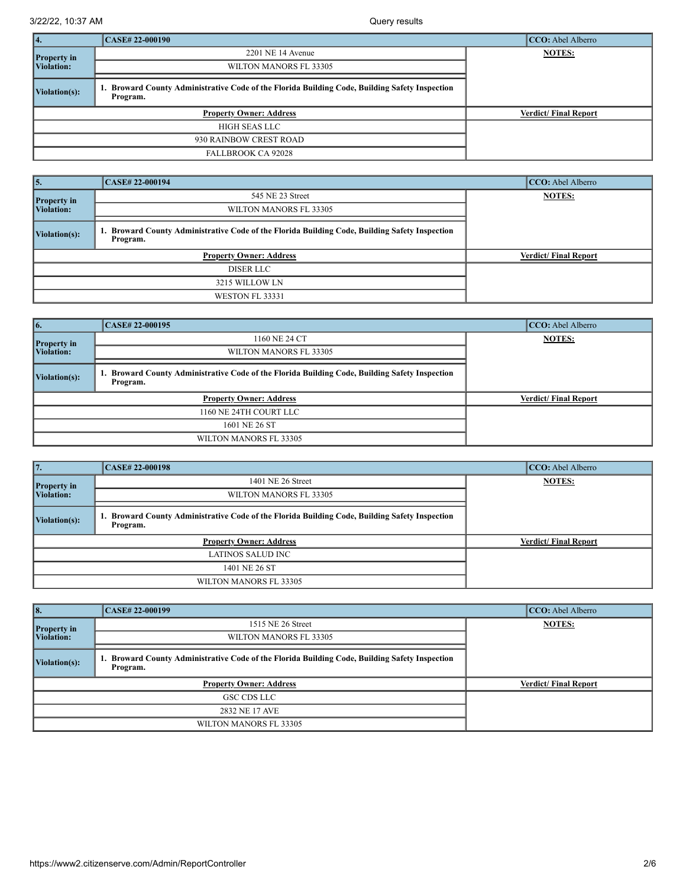| 4.                 | CASE# 22-000190                                                                                         | CCO: Abel Alberro           |
|--------------------|---------------------------------------------------------------------------------------------------------|-----------------------------|
| <b>Property in</b> | $2201$ NE 14 Avenue                                                                                     | <b>NOTES:</b>               |
| <b>Violation:</b>  | WILTON MANORS FL 33305                                                                                  |                             |
| Violation(s):      | Broward County Administrative Code of the Florida Building Code, Building Safety Inspection<br>Program. |                             |
|                    | <b>Property Owner: Address</b>                                                                          | <b>Verdict/Final Report</b> |
|                    | HIGH SEAS LLC                                                                                           |                             |
|                    | 930 RAINBOW CREST ROAD                                                                                  |                             |
|                    | <b>FALLBROOK CA 92028</b>                                                                               |                             |

| 5.                    | CASE# 22-000194                                                                                         | CCO: Abel Alberro           |
|-----------------------|---------------------------------------------------------------------------------------------------------|-----------------------------|
| <b>Property in</b>    | 545 NE 23 Street                                                                                        | <b>NOTES:</b>               |
| Violation:            | WILTON MANORS FL 33305                                                                                  |                             |
| $\vert$ Violation(s): | Broward County Administrative Code of the Florida Building Code, Building Safety Inspection<br>Program. |                             |
|                       | <b>Property Owner: Address</b>                                                                          | <b>Verdict/Final Report</b> |
|                       | DISER LLC                                                                                               |                             |
|                       | 3215 WILLOW LN                                                                                          |                             |
|                       | WESTON FL 33331                                                                                         |                             |

| 6.                 | CASE# 22-000195                                                                                            | CCO: Abel Alberro           |
|--------------------|------------------------------------------------------------------------------------------------------------|-----------------------------|
| <b>Property in</b> | 1160 NE 24 CT                                                                                              | <b>NOTES:</b>               |
| Violation:         | WILTON MANORS FL 33305                                                                                     |                             |
| Violation(s):      | 1. Broward County Administrative Code of the Florida Building Code, Building Safety Inspection<br>Program. |                             |
|                    | <b>Property Owner: Address</b>                                                                             | <b>Verdict/Final Report</b> |
|                    | 1160 NE 24TH COURT LLC                                                                                     |                             |
|                    | 1601 NE 26 ST                                                                                              |                             |
|                    | WILTON MANORS FL 33305                                                                                     |                             |

| 17.                | <b>CASE# 22-000198</b>                                                                                  | CCO: Abel Alberro           |
|--------------------|---------------------------------------------------------------------------------------------------------|-----------------------------|
| <b>Property</b> in | 1401 NE 26 Street                                                                                       | <b>NOTES:</b>               |
| Violation:         | WILTON MANORS FL 33305                                                                                  |                             |
| Violation(s):      | Broward County Administrative Code of the Florida Building Code, Building Safety Inspection<br>Program. |                             |
|                    | <b>Property Owner: Address</b>                                                                          | <b>Verdict/Final Report</b> |
|                    | LATINOS SALUD INC                                                                                       |                             |
|                    | 1401 NE 26 ST                                                                                           |                             |
|                    | WILTON MANORS FL 33305                                                                                  |                             |

| 8.                        | CASE# 22-000199                                                                                            | CCO: Abel Alberro           |
|---------------------------|------------------------------------------------------------------------------------------------------------|-----------------------------|
|                           | 1515 NE 26 Street                                                                                          | <b>NOTES:</b>               |
| Property in<br>Violation: | WILTON MANORS FL 33305                                                                                     |                             |
| $\vert$ Violation(s):     | 1. Broward County Administrative Code of the Florida Building Code, Building Safety Inspection<br>Program. |                             |
|                           | <b>Property Owner: Address</b>                                                                             | <b>Verdict/Final Report</b> |
|                           | GSC CDS LLC                                                                                                |                             |
|                           | 2832 NE 17 AVE                                                                                             |                             |
|                           | WILTON MANORS FL 33305                                                                                     |                             |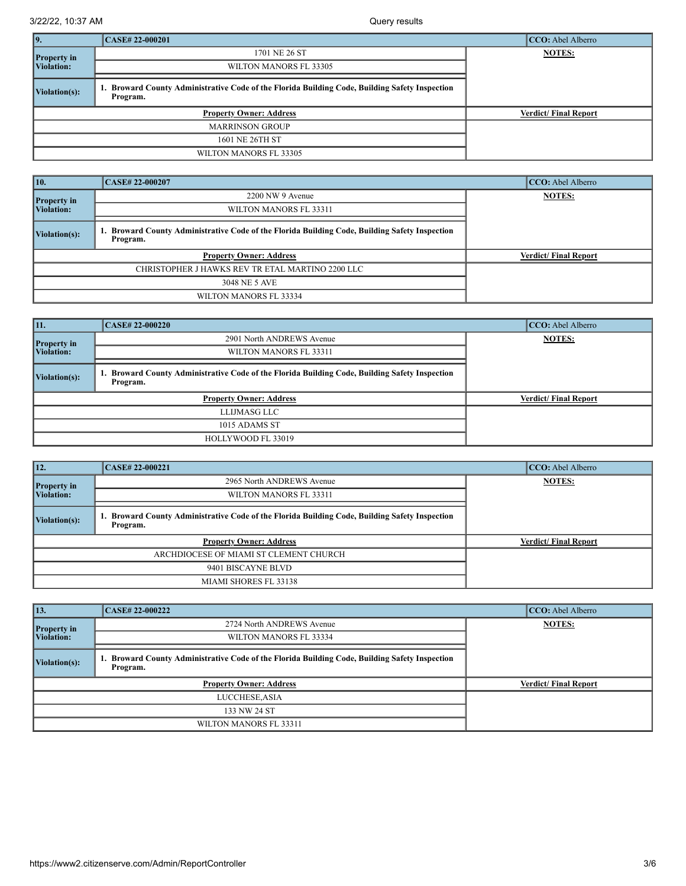| 19.                | <b>CASE# 22-000201</b>                                                                                  | CCO: Abel Alberro           |
|--------------------|---------------------------------------------------------------------------------------------------------|-----------------------------|
| <b>Property in</b> | 1701 NE 26 ST                                                                                           | <b>NOTES:</b>               |
| <b>Violation:</b>  | WILTON MANORS FL 33305                                                                                  |                             |
| Violation(s):      | Broward County Administrative Code of the Florida Building Code, Building Safety Inspection<br>Program. |                             |
|                    | <b>Property Owner: Address</b>                                                                          | <b>Verdict/Final Report</b> |
|                    | <b>MARRINSON GROUP</b>                                                                                  |                             |
|                    | 1601 NE 26TH ST                                                                                         |                             |
|                    | WILTON MANORS FL 33305                                                                                  |                             |

| 10.                | <b>CASE# 22-000207</b>                                                                                         | CCO: Abel Alberro           |
|--------------------|----------------------------------------------------------------------------------------------------------------|-----------------------------|
| <b>Property in</b> | 2200 NW 9 Avenue                                                                                               | <b>NOTES:</b>               |
| <b>Violation:</b>  | WILTON MANORS FL 33311                                                                                         |                             |
| Violation(s):      | <b>Broward County Administrative Code of the Florida Building Code, Building Safety Inspection</b><br>Program. |                             |
|                    | <b>Property Owner: Address</b>                                                                                 | <b>Verdict/Final Report</b> |
|                    | CHRISTOPHER J HAWKS REV TR ETAL MARTINO 2200 LLC                                                               |                             |
|                    | 3048 NE 5 AVE                                                                                                  |                             |
|                    | WILTON MANORS FL 33334                                                                                         |                             |

| 11.                | <b>CASE# 22-000220</b>                                                                                  | CCO: Abel Alberro           |
|--------------------|---------------------------------------------------------------------------------------------------------|-----------------------------|
| <b>Property</b> in | 2901 North ANDREWS Avenue                                                                               | <b>NOTES:</b>               |
| Violation:         | WILTON MANORS FL 33311                                                                                  |                             |
| Violation(s):      | Broward County Administrative Code of the Florida Building Code, Building Safety Inspection<br>Program. |                             |
|                    | <b>Property Owner: Address</b>                                                                          | <b>Verdict/Final Report</b> |
|                    | LLIJMASG LLC                                                                                            |                             |
|                    | 1015 ADAMS ST                                                                                           |                             |
|                    | HOLLYWOOD FL 33019                                                                                      |                             |

| 12.                | CASE# 22-000221                                                                                         | CCO: Abel Alberro           |
|--------------------|---------------------------------------------------------------------------------------------------------|-----------------------------|
| <b>Property</b> in | 2965 North ANDREWS Avenue                                                                               | <b>NOTES:</b>               |
| Violation:         | WILTON MANORS FL 33311                                                                                  |                             |
| Violation(s):      | Broward County Administrative Code of the Florida Building Code, Building Safety Inspection<br>Program. |                             |
|                    | <b>Property Owner: Address</b>                                                                          | <b>Verdict/Final Report</b> |
|                    | ARCHDIOCESE OF MIAMI ST CLEMENT CHURCH                                                                  |                             |
|                    | 9401 BISCAYNE BLVD                                                                                      |                             |
|                    | MIAMI SHORES FL 33138                                                                                   |                             |

| $\vert$ 13.        | <b>CASE# 22-000222</b>                                                                                  | CCO: Abel Alberro           |
|--------------------|---------------------------------------------------------------------------------------------------------|-----------------------------|
| <b>Property</b> in | 2724 North ANDREWS Avenue                                                                               | <b>NOTES:</b>               |
| Violation:         | WILTON MANORS FL 33334                                                                                  |                             |
| Violation(s):      | Broward County Administrative Code of the Florida Building Code, Building Safety Inspection<br>Program. |                             |
|                    | <b>Property Owner: Address</b>                                                                          | <b>Verdict/Final Report</b> |
|                    | LUCCHESE, ASIA                                                                                          |                             |
|                    | 133 NW 24 ST                                                                                            |                             |
|                    | WILTON MANORS FL 33311                                                                                  |                             |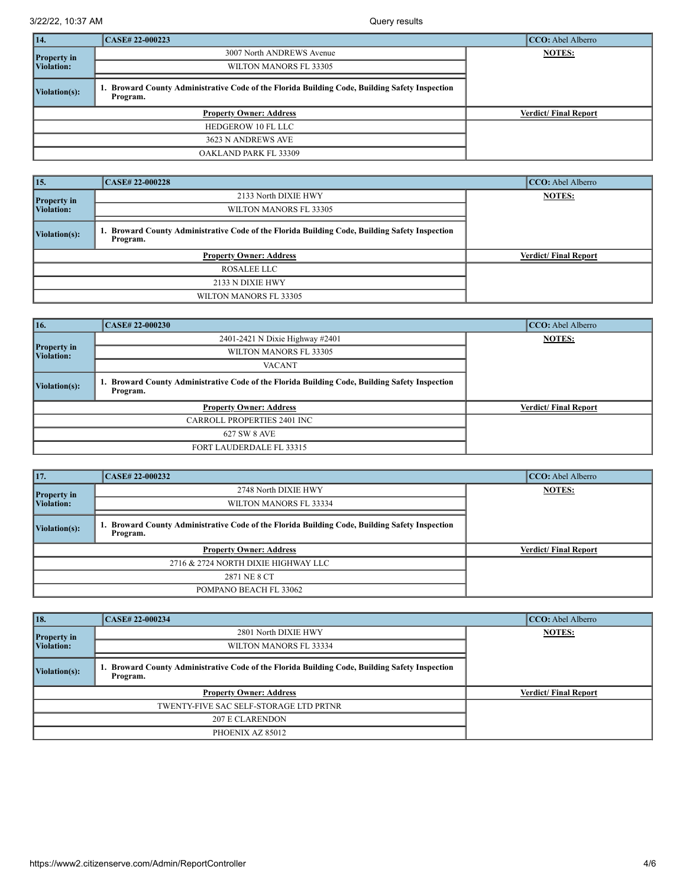| 14.                | CASE# 22-000223                                                                                         | CCO: Abel Alberro           |
|--------------------|---------------------------------------------------------------------------------------------------------|-----------------------------|
| <b>Property in</b> | 3007 North ANDREWS Avenue                                                                               | <b>NOTES:</b>               |
| <b>Violation:</b>  | WILTON MANORS FL 33305                                                                                  |                             |
| Violation(s):      | Broward County Administrative Code of the Florida Building Code, Building Safety Inspection<br>Program. |                             |
|                    | <b>Property Owner: Address</b>                                                                          | <b>Verdict/Final Report</b> |
|                    | HEDGEROW 10 FL LLC                                                                                      |                             |
|                    | 3623 N ANDREWS AVE                                                                                      |                             |
|                    | OAKLAND PARK FL 33309                                                                                   |                             |

| $\vert$ 15.           | <b>CASE# 22-000228</b>                                                                                  | CCO: Abel Alberro           |
|-----------------------|---------------------------------------------------------------------------------------------------------|-----------------------------|
| <b>Property in</b>    | 2133 North DIXIE HWY                                                                                    | <b>NOTES:</b>               |
| Violation:            | WILTON MANORS FL 33305                                                                                  |                             |
| $\vert$ Violation(s): | Broward County Administrative Code of the Florida Building Code, Building Safety Inspection<br>Program. |                             |
|                       | <b>Property Owner: Address</b>                                                                          | <b>Verdict/Final Report</b> |
|                       | ROSALEE LLC                                                                                             |                             |
|                       | 2133 N DIXIE HWY                                                                                        |                             |
|                       | WILTON MANORS FL 33305                                                                                  |                             |

| $\vert$ 16.                      | <b>CASE# 22-000230</b>                                                                                  | CCO: Abel Alberro           |
|----------------------------------|---------------------------------------------------------------------------------------------------------|-----------------------------|
|                                  | 2401-2421 N Dixie Highway #2401                                                                         | <b>NOTES:</b>               |
| <b>Property in</b><br>Violation: | WILTON MANORS FL 33305                                                                                  |                             |
|                                  | <b>VACANT</b>                                                                                           |                             |
| $\vert$ Violation(s):            | Broward County Administrative Code of the Florida Building Code, Building Safety Inspection<br>Program. |                             |
|                                  | <b>Property Owner: Address</b>                                                                          | <b>Verdict/Final Report</b> |
|                                  | <b>CARROLL PROPERTIES 2401 INC</b>                                                                      |                             |
|                                  | 627 SW 8 AVE                                                                                            |                             |
|                                  | FORT LAUDERDALE FL 33315                                                                                |                             |

| 17.                | <b>CASE# 22-000232</b>                                                                                  | CCO: Abel Alberro           |
|--------------------|---------------------------------------------------------------------------------------------------------|-----------------------------|
| <b>Property in</b> | 2748 North DIXIE HWY                                                                                    | <b>NOTES:</b>               |
| Violation:         | WILTON MANORS FL 33334                                                                                  |                             |
| Violation(s):      | Broward County Administrative Code of the Florida Building Code, Building Safety Inspection<br>Program. |                             |
|                    | <b>Property Owner: Address</b>                                                                          | <b>Verdict/Final Report</b> |
|                    | 2716 & 2724 NORTH DIXIE HIGHWAY LLC                                                                     |                             |
|                    | 2871 NE 8 CT                                                                                            |                             |
|                    | POMPANO BEACH FL 33062                                                                                  |                             |

| $\vert$ 18.        | CASE# 22-000234                                                                                         | CCO: Abel Alberro           |
|--------------------|---------------------------------------------------------------------------------------------------------|-----------------------------|
| <b>Property in</b> | 2801 North DIXIE HWY                                                                                    | <b>NOTES:</b>               |
| Violation:         | WILTON MANORS FL 33334                                                                                  |                             |
| Violation(s):      | Broward County Administrative Code of the Florida Building Code, Building Safety Inspection<br>Program. |                             |
|                    | <b>Property Owner: Address</b>                                                                          | <b>Verdict/Final Report</b> |
|                    | TWENTY-FIVE SAC SELF-STORAGE LTD PRTNR                                                                  |                             |
|                    | <b>207 E CLARENDON</b>                                                                                  |                             |
|                    | PHOENIX AZ 85012                                                                                        |                             |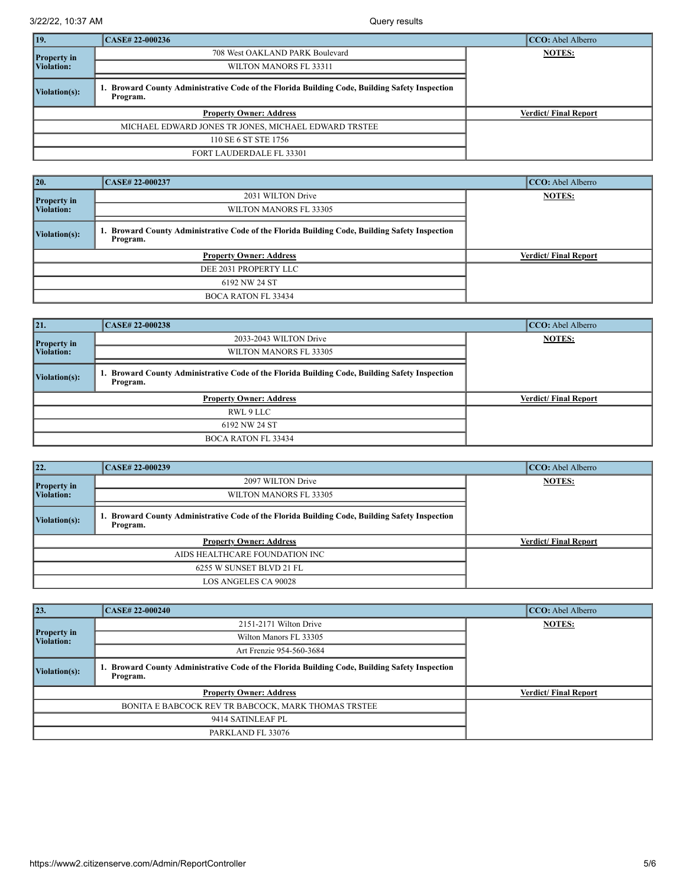| 19.                | CASE# 22-000236                                                                                            | CCO: Abel Alberro           |
|--------------------|------------------------------------------------------------------------------------------------------------|-----------------------------|
| <b>Property in</b> | 708 West OAKLAND PARK Boulevard                                                                            | <b>NOTES:</b>               |
| <b>Violation:</b>  | WILTON MANORS FL 33311                                                                                     |                             |
| Violation(s):      | 1. Broward County Administrative Code of the Florida Building Code, Building Safety Inspection<br>Program. |                             |
|                    | <b>Property Owner: Address</b>                                                                             | <b>Verdict/Final Report</b> |
|                    | MICHAEL EDWARD JONES TR JONES, MICHAEL EDWARD TRSTEE                                                       |                             |
|                    | 110 SE 6 ST STE 1756                                                                                       |                             |
|                    | FORT LAUDERDALE FL 33301                                                                                   |                             |

| $\overline{20}$    | <b>CASE# 22-000237</b>                                                                                         | CCO: Abel Alberro           |
|--------------------|----------------------------------------------------------------------------------------------------------------|-----------------------------|
| <b>Property in</b> | 2031 WILTON Drive                                                                                              | <b>NOTES:</b>               |
| Violation:         | WILTON MANORS FL 33305                                                                                         |                             |
| Violation(s):      | <b>Broward County Administrative Code of the Florida Building Code, Building Safety Inspection</b><br>Program. |                             |
|                    | <b>Property Owner: Address</b>                                                                                 | <b>Verdict/Final Report</b> |
|                    | DEE 2031 PROPERTY LLC                                                                                          |                             |
|                    | 6192 NW 24 ST                                                                                                  |                             |
|                    | <b>BOCA RATON FL 33434</b>                                                                                     |                             |

| 21                 | <b>CASE# 22-000238</b>                                                                                  | CCO: Abel Alberro           |
|--------------------|---------------------------------------------------------------------------------------------------------|-----------------------------|
| <b>Property in</b> | 2033-2043 WILTON Drive                                                                                  | <b>NOTES:</b>               |
| Violation:         | WILTON MANORS FL 33305                                                                                  |                             |
| Violation(s):      | Broward County Administrative Code of the Florida Building Code, Building Safety Inspection<br>Program. |                             |
|                    | <b>Property Owner: Address</b>                                                                          | <b>Verdict/Final Report</b> |
|                    | RWL 9 LLC                                                                                               |                             |
|                    | 6192 NW 24 ST                                                                                           |                             |
|                    | <b>BOCA RATON FL 33434</b>                                                                              |                             |

| 22.                | CASE# 22-000239                                                                                         | CCO: Abel Alberro           |
|--------------------|---------------------------------------------------------------------------------------------------------|-----------------------------|
| <b>Property</b> in | 2097 WILTON Drive                                                                                       | <b>NOTES:</b>               |
| Violation:         | WILTON MANORS FL 33305                                                                                  |                             |
| Violation(s):      | Broward County Administrative Code of the Florida Building Code, Building Safety Inspection<br>Program. |                             |
|                    | <b>Property Owner: Address</b>                                                                          | <b>Verdict/Final Report</b> |
|                    | AIDS HEALTHCARE FOUNDATION INC                                                                          |                             |
|                    | 6255 W SUNSET BLVD 21 FL                                                                                |                             |
|                    | <b>LOS ANGELES CA 90028</b>                                                                             |                             |

| 23.                              | <b>CASE# 22-000240</b>                                                                                     | CCO: Abel Alberro           |
|----------------------------------|------------------------------------------------------------------------------------------------------------|-----------------------------|
|                                  | 2151-2171 Wilton Drive                                                                                     | <b>NOTES:</b>               |
| <b>Property in</b><br>Violation: | Wilton Manors FL 33305                                                                                     |                             |
|                                  | Art Frenzie 954-560-3684                                                                                   |                             |
| Violation(s):                    | 1. Broward County Administrative Code of the Florida Building Code, Building Safety Inspection<br>Program. |                             |
|                                  | <b>Property Owner: Address</b>                                                                             | <b>Verdict/Final Report</b> |
|                                  | BONITA E BABCOCK REV TR BABCOCK, MARK THOMAS TRSTEE                                                        |                             |
|                                  | 9414 SATINLEAF PL                                                                                          |                             |
|                                  | PARKLAND FL 33076                                                                                          |                             |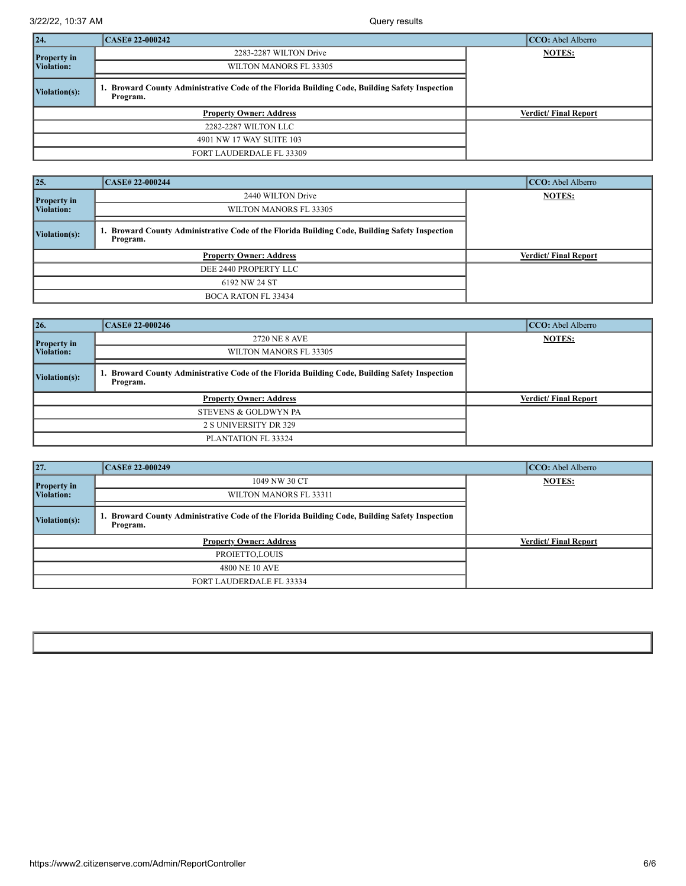| $\vert$ 24.        | <b>CASE# 22-000242</b>                                                                                  | CCO: Abel Alberro           |
|--------------------|---------------------------------------------------------------------------------------------------------|-----------------------------|
| <b>Property in</b> | 2283-2287 WILTON Drive                                                                                  | <b>NOTES:</b>               |
| <b>Violation:</b>  | WILTON MANORS FL 33305                                                                                  |                             |
| Violation(s):      | Broward County Administrative Code of the Florida Building Code, Building Safety Inspection<br>Program. |                             |
|                    | <b>Property Owner: Address</b>                                                                          | <b>Verdict/Final Report</b> |
|                    | 2282-2287 WILTON LLC                                                                                    |                             |
|                    | 4901 NW 17 WAY SUITE 103                                                                                |                             |
|                    | <b>FORT LAUDERDALE FL 33309</b>                                                                         |                             |

| $\vert 25.$                      | <b>CASE# 22-000244</b>                                                                                  | CCO: Abel Alberro           |
|----------------------------------|---------------------------------------------------------------------------------------------------------|-----------------------------|
| <b>Property in</b><br>Violation: | 2440 WILTON Drive                                                                                       | <b>NOTES:</b>               |
|                                  | WILTON MANORS FL 33305                                                                                  |                             |
| $\vert$ Violation(s):            | Broward County Administrative Code of the Florida Building Code, Building Safety Inspection<br>Program. |                             |
| <b>Property Owner: Address</b>   |                                                                                                         | <b>Verdict/Final Report</b> |
| DEE 2440 PROPERTY LLC            |                                                                                                         |                             |
| 6192 NW 24 ST                    |                                                                                                         |                             |
| <b>BOCA RATON FL 33434</b>       |                                                                                                         |                             |

| $\vert$ 26.                      | <b>CASE# 22-000246</b>                                                                                     | CCO: Abel Alberro           |
|----------------------------------|------------------------------------------------------------------------------------------------------------|-----------------------------|
| <b>Property in</b><br>Violation: | 2720 NE 8 AVE                                                                                              | <b>NOTES:</b>               |
|                                  | WILTON MANORS FL 33305                                                                                     |                             |
| Violation(s):                    | 1. Broward County Administrative Code of the Florida Building Code, Building Safety Inspection<br>Program. |                             |
| <b>Property Owner: Address</b>   |                                                                                                            | <b>Verdict/Final Report</b> |
| STEVENS & GOLDWYN PA             |                                                                                                            |                             |
| 2 S UNIVERSITY DR 329            |                                                                                                            |                             |
| PLANTATION FL 33324              |                                                                                                            |                             |

| 27.                              | <b>CASE# 22-000249</b>                                                                                  | CCO: Abel Alberro           |
|----------------------------------|---------------------------------------------------------------------------------------------------------|-----------------------------|
| <b>Property</b> in<br>Violation: | 1049 NW 30 CT                                                                                           | <b>NOTES:</b>               |
|                                  | WILTON MANORS FL 33311                                                                                  |                             |
| $\vert$ Violation(s):            | Broward County Administrative Code of the Florida Building Code, Building Safety Inspection<br>Program. |                             |
| <b>Property Owner: Address</b>   |                                                                                                         | <b>Verdict/Final Report</b> |
| PROJETTO, LOUIS                  |                                                                                                         |                             |
| 4800 NE 10 AVE                   |                                                                                                         |                             |
| FORT LAUDERDALE FL 33334         |                                                                                                         |                             |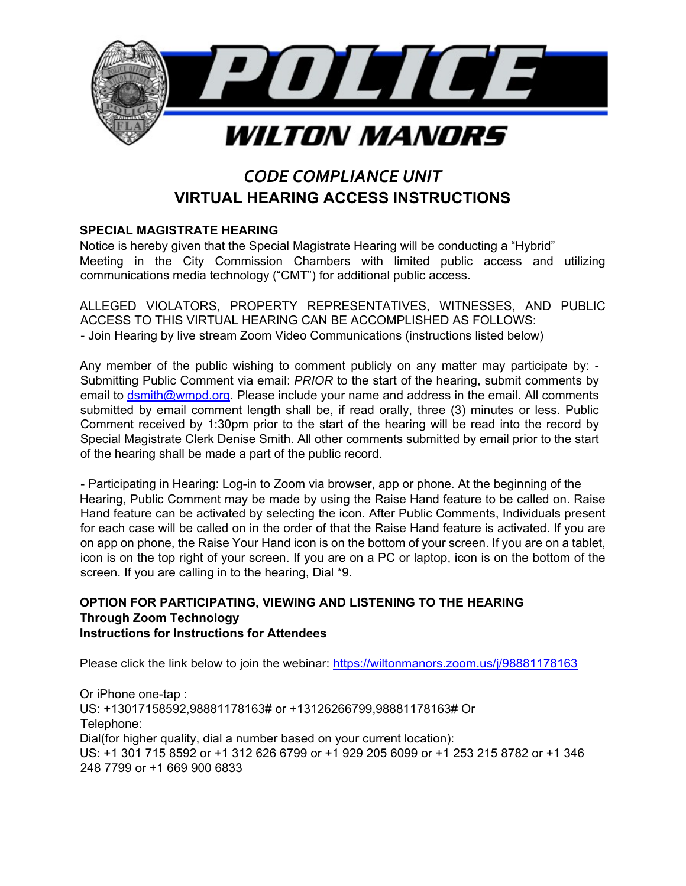

# *CODE COMPLIANCE UNIT* **VIRTUAL HEARING ACCESS INSTRUCTIONS**

## **SPECIAL MAGISTRATE HEARING**

Notice is hereby given that the Special Magistrate Hearing will be conducting a "Hybrid" Meeting in the City Commission Chambers with limited public access and utilizing communications media technology ("CMT") for additional public access.

ALLEGED VIOLATORS, PROPERTY REPRESENTATIVES, WITNESSES, AND PUBLIC ACCESS TO THIS VIRTUAL HEARING CAN BE ACCOMPLISHED AS FOLLOWS: - Join Hearing by live stream Zoom Video Communications (instructions listed below)

Any member of the public wishing to comment publicly on any matter may participate by: - Submitting Public Comment via email: *PRIOR* to the start of the hearing, submit comments by email to dsmith@wmpd.org. Please include your name and address in the email. All comments submitted by email comment length shall be, if read orally, three (3) minutes or less. Public Comment received by 1:30pm prior to the start of the hearing will be read into the record by Special Magistrate Clerk Denise Smith. All other comments submitted by email prior to the start of the hearing shall be made a part of the public record.

- Participating in Hearing: Log-in to Zoom via browser, app or phone. At the beginning of the Hearing, Public Comment may be made by using the Raise Hand feature to be called on. Raise Hand feature can be activated by selecting the icon. After Public Comments, Individuals present for each case will be called on in the order of that the Raise Hand feature is activated. If you are on app on phone, the Raise Your Hand icon is on the bottom of your screen. If you are on a tablet, icon is on the top right of your screen. If you are on a PC or laptop, icon is on the bottom of the screen. If you are calling in to the hearing, Dial \*9.

### **OPTION FOR PARTICIPATING, VIEWING AND LISTENING TO THE HEARING Through Zoom Technology Instructions for Instructions for Attendees**

Please click the link below to join the webinar: https://wiltonmanors.zoom.us/j/98881178163

Or iPhone one-tap : US: +13017158592,98881178163# or +13126266799,98881178163# Or Telephone: Dial(for higher quality, dial a number based on your current location): US: +1 301 715 8592 or +1 312 626 6799 or +1 929 205 6099 or +1 253 215 8782 or +1 346 248 7799 or +1 669 900 6833